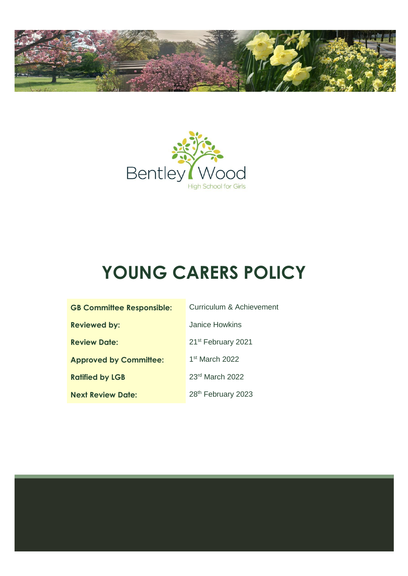



# **YOUNG CARERS POLICY**

| <b>GB Committee Responsible:</b> | Curriculum & Achievement       |
|----------------------------------|--------------------------------|
| <b>Reviewed by:</b>              | Janice Howkins                 |
| <b>Review Date:</b>              | 21 <sup>st</sup> February 2021 |
| <b>Approved by Committee:</b>    | $1st$ March 2022               |
| <b>Ratified by LGB</b>           | 23rd March 2022                |
| <b>Next Review Date:</b>         | 28th February 2023             |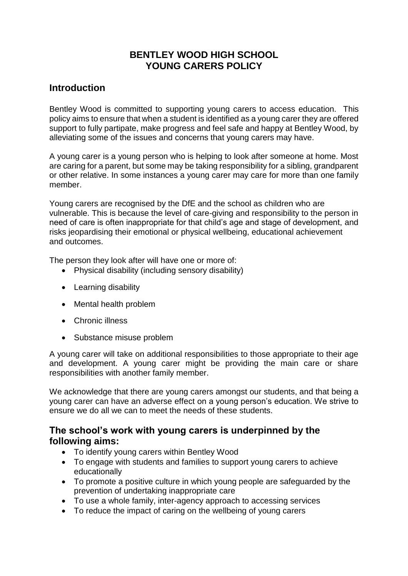# **BENTLEY WOOD HIGH SCHOOL YOUNG CARERS POLICY**

#### **Introduction**

Bentley Wood is committed to supporting young carers to access education. This policy aims to ensure that when a student is identified as a young carer they are offered support to fully partipate, make progress and feel safe and happy at Bentley Wood, by alleviating some of the issues and concerns that young carers may have.

A young carer is a young person who is helping to look after someone at home. Most are caring for a parent, but some may be taking responsibility for a sibling, grandparent or other relative. In some instances a young carer may care for more than one family member.

Young carers are recognised by the DfE and the school as children who are vulnerable. This is because the level of care-giving and responsibility to the person in need of care is often inappropriate for that child's age and stage of development, and risks jeopardising their emotional or physical wellbeing, educational achievement and outcomes.

The person they look after will have one or more of:

- Physical disability (including sensory disability)
- Learning disability
- Mental health problem
- Chronic illness
- Substance misuse problem

A young carer will take on additional responsibilities to those appropriate to their age and development. A young carer might be providing the main care or share responsibilities with another family member.

We acknowledge that there are young carers amongst our students, and that being a young carer can have an adverse effect on a young person's education. We strive to ensure we do all we can to meet the needs of these students.

#### **The school's work with young carers is underpinned by the following aims:**

- To identify young carers within Bentley Wood
- To engage with students and families to support young carers to achieve educationally
- To promote a positive culture in which young people are safeguarded by the prevention of undertaking inappropriate care
- To use a whole family, inter-agency approach to accessing services
- To reduce the impact of caring on the wellbeing of young carers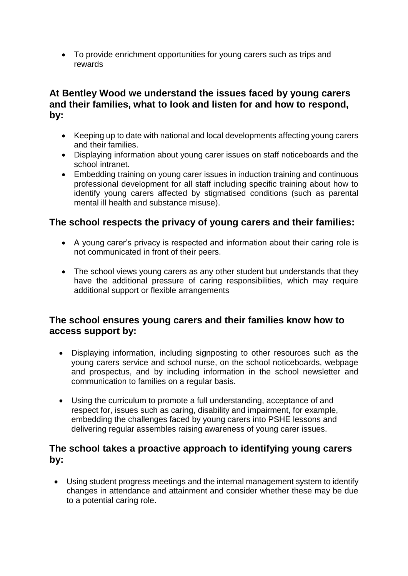• To provide enrichment opportunities for young carers such as trips and rewards

# **At Bentley Wood we understand the issues faced by young carers and their families, what to look and listen for and how to respond, by:**

- Keeping up to date with national and local developments affecting young carers and their families.
- Displaying information about young carer issues on staff noticeboards and the school intranet.
- Embedding training on young carer issues in induction training and continuous professional development for all staff including specific training about how to identify young carers affected by stigmatised conditions (such as parental mental ill health and substance misuse).

# **The school respects the privacy of young carers and their families:**

- A young carer's privacy is respected and information about their caring role is not communicated in front of their peers.
- The school views young carers as any other student but understands that they have the additional pressure of caring responsibilities, which may require additional support or flexible arrangements

#### **The school ensures young carers and their families know how to access support by:**

- Displaying information, including signposting to other resources such as the young carers service and school nurse, on the school noticeboards, webpage and prospectus, and by including information in the school newsletter and communication to families on a regular basis.
- Using the curriculum to promote a full understanding, acceptance of and respect for, issues such as caring, disability and impairment, for example, embedding the challenges faced by young carers into PSHE lessons and delivering regular assembles raising awareness of young carer issues.

#### **The school takes a proactive approach to identifying young carers by:**

• Using student progress meetings and the internal management system to identify changes in attendance and attainment and consider whether these may be due to a potential caring role.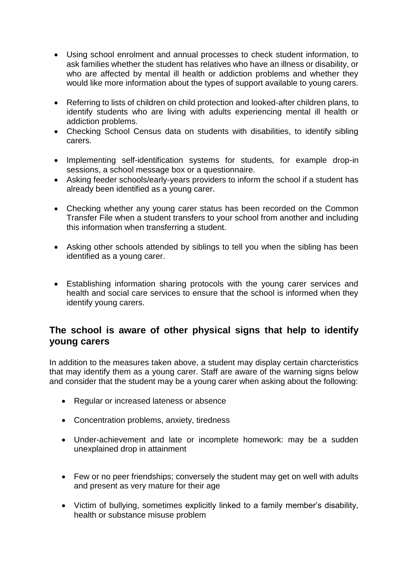- Using school enrolment and annual processes to check student information, to ask families whether the student has relatives who have an illness or disability, or who are affected by mental ill health or addiction problems and whether they would like more information about the types of support available to young carers.
- Referring to lists of children on child protection and looked-after children plans, to identify students who are living with adults experiencing mental ill health or addiction problems.
- Checking School Census data on students with disabilities, to identify sibling carers.
- Implementing self-identification systems for students, for example drop-in sessions, a school message box or a questionnaire.
- Asking feeder schools/early-years providers to inform the school if a student has already been identified as a young carer.
- Checking whether any young carer status has been recorded on the Common Transfer File when a student transfers to your school from another and including this information when transferring a student.
- Asking other schools attended by siblings to tell you when the sibling has been identified as a young carer.
- Establishing information sharing protocols with the young carer services and health and social care services to ensure that the school is informed when they identify young carers.

# **The school is aware of other physical signs that help to identify young carers**

In addition to the measures taken above, a student may display certain charcteristics that may identify them as a young carer. Staff are aware of the warning signs below and consider that the student may be a young carer when asking about the following:

- Regular or increased lateness or absence
- Concentration problems, anxiety, tiredness
- Under-achievement and late or incomplete homework: may be a sudden unexplained drop in attainment
- Few or no peer friendships; conversely the student may get on well with adults and present as very mature for their age
- Victim of bullying, sometimes explicitly linked to a family member's disability, health or substance misuse problem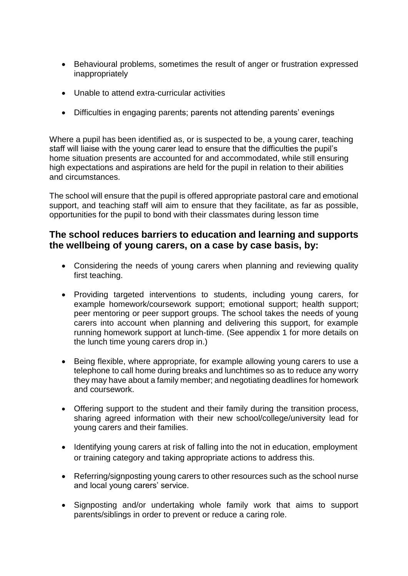- Behavioural problems, sometimes the result of anger or frustration expressed inappropriately
- Unable to attend extra-curricular activities
- Difficulties in engaging parents; parents not attending parents' evenings

Where a pupil has been identified as, or is suspected to be, a young carer, teaching staff will liaise with the young carer lead to ensure that the difficulties the pupil's home situation presents are accounted for and accommodated, while still ensuring high expectations and aspirations are held for the pupil in relation to their abilities and circumstances.

The school will ensure that the pupil is offered appropriate pastoral care and emotional support, and teaching staff will aim to ensure that they facilitate, as far as possible, opportunities for the pupil to bond with their classmates during lesson time

#### **The school reduces barriers to education and learning and supports the wellbeing of young carers, on a case by case basis, by:**

- Considering the needs of young carers when planning and reviewing quality first teaching.
- Providing targeted interventions to students, including young carers, for example homework/coursework support; emotional support; health support; peer mentoring or peer support groups. The school takes the needs of young carers into account when planning and delivering this support, for example running homework support at lunch-time. (See appendix 1 for more details on the lunch time young carers drop in.)
- Being flexible, where appropriate, for example allowing young carers to use a telephone to call home during breaks and lunchtimes so as to reduce any worry they may have about a family member; and negotiating deadlines for homework and coursework.
- Offering support to the student and their family during the transition process, sharing agreed information with their new school/college/university lead for young carers and their families.
- Identifying young carers at risk of falling into the not in education, employment or training category and taking appropriate actions to address this.
- Referring/signposting young carers to other resources such as the school nurse and local young carers' service.
- Signposting and/or undertaking whole family work that aims to support parents/siblings in order to prevent or reduce a caring role.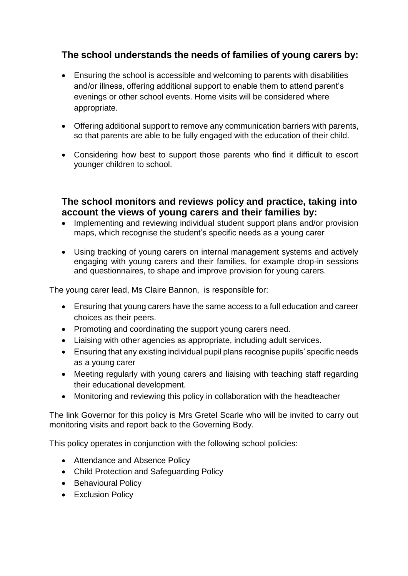# **The school understands the needs of families of young carers by:**

- Ensuring the school is accessible and welcoming to parents with disabilities and/or illness, offering additional support to enable them to attend parent's evenings or other school events. Home visits will be considered where appropriate.
- Offering additional support to remove any communication barriers with parents, so that parents are able to be fully engaged with the education of their child.
- Considering how best to support those parents who find it difficult to escort younger children to school.

**The school monitors and reviews policy and practice, taking into account the views of young carers and their families by:** 

- Implementing and reviewing individual student support plans and/or provision maps, which recognise the student's specific needs as a young carer
- Using tracking of young carers on internal management systems and actively engaging with young carers and their families, for example drop-in sessions and questionnaires, to shape and improve provision for young carers.

The young carer lead, Ms Claire Bannon, is responsible for:

- Ensuring that young carers have the same access to a full education and career choices as their peers.
- Promoting and coordinating the support young carers need.
- Liaising with other agencies as appropriate, including adult services.
- Ensuring that any existing individual pupil plans recognise pupils' specific needs as a young carer
- Meeting regularly with young carers and liaising with teaching staff regarding their educational development.
- Monitoring and reviewing this policy in collaboration with the headteacher

The link Governor for this policy is Mrs Gretel Scarle who will be invited to carry out monitoring visits and report back to the Governing Body.

This policy operates in conjunction with the following school policies:

- Attendance and Absence Policy
- Child Protection and Safeguarding Policy
- Behavioural Policy
- Exclusion Policy